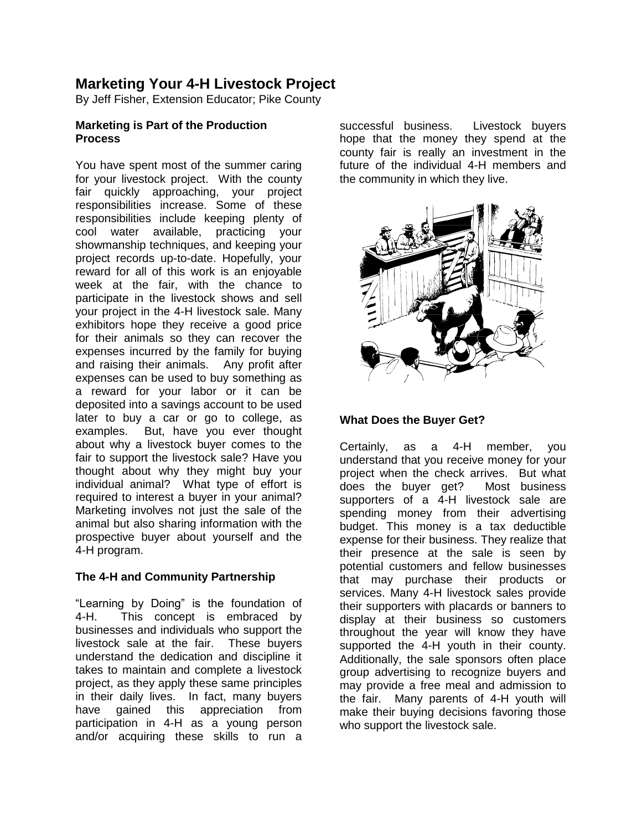# **Marketing Your 4-H Livestock Project**

By Jeff Fisher, Extension Educator; Pike County

#### **Marketing is Part of the Production Process**

You have spent most of the summer caring for your livestock project. With the county fair quickly approaching, your project responsibilities increase. Some of these responsibilities include keeping plenty of cool water available, practicing your showmanship techniques, and keeping your project records up-to-date. Hopefully, your reward for all of this work is an enjoyable week at the fair, with the chance to participate in the livestock shows and sell your project in the 4-H livestock sale. Many exhibitors hope they receive a good price for their animals so they can recover the expenses incurred by the family for buying and raising their animals. Any profit after expenses can be used to buy something as a reward for your labor or it can be deposited into a savings account to be used later to buy a car or go to college, as examples. But, have you ever thought about why a livestock buyer comes to the fair to support the livestock sale? Have you thought about why they might buy your individual animal? What type of effort is required to interest a buyer in your animal? Marketing involves not just the sale of the animal but also sharing information with the prospective buyer about yourself and the 4-H program.

# **The 4-H and Community Partnership**

"Learning by Doing" is the foundation of 4-H. This concept is embraced by businesses and individuals who support the livestock sale at the fair. These buyers understand the dedication and discipline it takes to maintain and complete a livestock project, as they apply these same principles in their daily lives. In fact, many buyers have gained this appreciation from participation in 4-H as a young person and/or acquiring these skills to run a successful business. Livestock buyers hope that the money they spend at the county fair is really an investment in the future of the individual 4-H members and the community in which they live.



#### **What Does the Buyer Get?**

Certainly, as a 4-H member, you understand that you receive money for your project when the check arrives. But what does the buyer get? Most business supporters of a 4-H livestock sale are spending money from their advertising budget. This money is a tax deductible expense for their business. They realize that their presence at the sale is seen by potential customers and fellow businesses that may purchase their products or services. Many 4-H livestock sales provide their supporters with placards or banners to display at their business so customers throughout the year will know they have supported the 4-H youth in their county. Additionally, the sale sponsors often place group advertising to recognize buyers and may provide a free meal and admission to the fair. Many parents of 4-H youth will make their buying decisions favoring those who support the livestock sale.